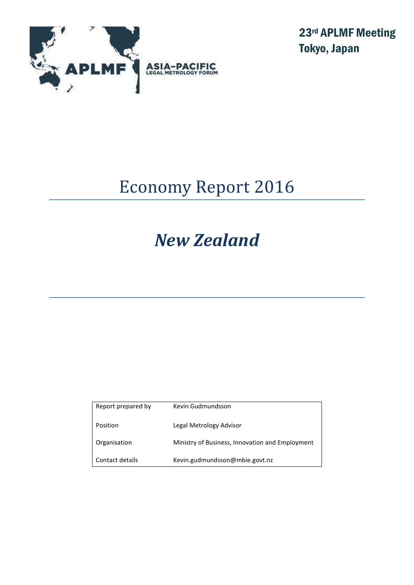

23rd APLMF Meeting Tokyo, Japan

# Economy Report 2016

# *New Zealand*

| Report prepared by | Kevin Gudmundsson                               |
|--------------------|-------------------------------------------------|
| Position           | Legal Metrology Advisor                         |
| Organisation       | Ministry of Business, Innovation and Employment |
| Contact details    | Kevin.gudmundsson@mbie.govt.nz                  |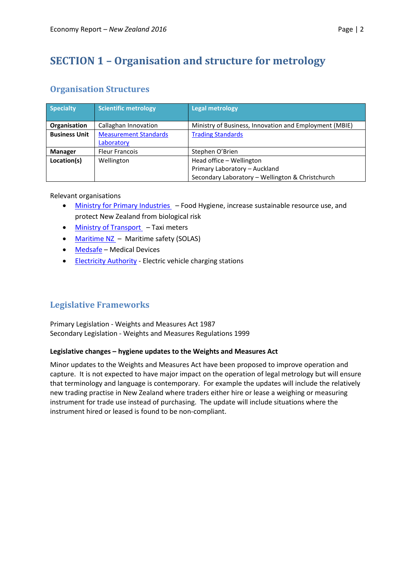# **SECTION 1 – Organisation and structure for metrology**

# **Organisation Structures**

| <b>Specialty</b>     | <b>Scientific metrology</b>  | <b>Legal metrology</b>                                 |
|----------------------|------------------------------|--------------------------------------------------------|
| Organisation         | Callaghan Innovation         | Ministry of Business, Innovation and Employment (MBIE) |
| <b>Business Unit</b> | <b>Measurement Standards</b> | <b>Trading Standards</b>                               |
|                      | Laboratory                   |                                                        |
| <b>Manager</b>       | <b>Fleur Francois</b>        | Stephen O'Brien                                        |
| Location(s)          | Wellington                   | Head office - Wellington                               |
|                      |                              | Primary Laboratory - Auckland                          |
|                      |                              | Secondary Laboratory - Wellington & Christchurch       |

Relevant organisations

- [Ministry for Primary Industries](https://www.mpi.govt.nz/) Food Hygiene, increase sustainable resource use, and protect New Zealand from biological risk
- [Ministry of Transport](http://www.transport.govt.nz/)  Taxi meters
- [Maritime NZ](http://www.maritimenz.govt.nz/)  Maritime safety (SOLAS)
- [Medsafe](http://www.medsafe.govt.nz/) Medical Devices
- **[Electricity Authority](https://www.ea.govt.nz/)** Electric vehicle charging stations

# **Legislative Frameworks**

Primary Legislation - Weights and Measures Act 1987 Secondary Legislation - Weights and Measures Regulations 1999

## **Legislative changes – hygiene updates to the Weights and Measures Act**

Minor updates to the Weights and Measures Act have been proposed to improve operation and capture. It is not expected to have major impact on the operation of legal metrology but will ensure that terminology and language is contemporary. For example the updates will include the relatively new trading practise in New Zealand where traders either hire or lease a weighing or measuring instrument for trade use instead of purchasing. The update will include situations where the instrument hired or leased is found to be non-compliant.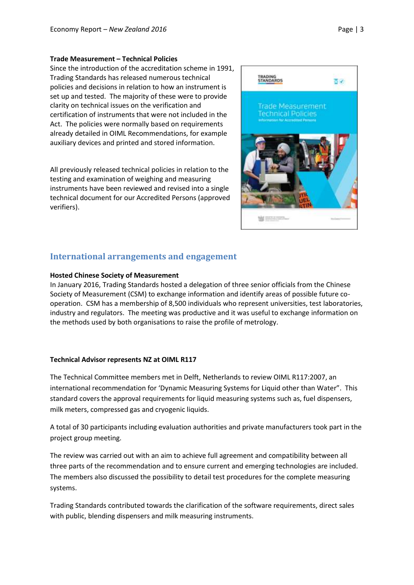#### **Trade Measurement – Technical Policies**

Since the introduction of the accreditation scheme in 1991, Trading Standards has released numerous technical policies and decisions in relation to how an instrument is set up and tested. The majority of these were to provide clarity on technical issues on the verification and certification of instruments that were not included in the Act. The policies were normally based on requirements already detailed in OIML Recommendations, for example auxiliary devices and printed and stored information.

All previously released technical policies in relation to the testing and examination of weighing and measuring instruments have been reviewed and revised into a single technical document for our Accredited Persons (approved verifiers).



# **International arrangements and engagement**

### **Hosted Chinese Society of Measurement**

In January 2016, Trading Standards hosted a delegation of three senior officials from the Chinese Society of Measurement (CSM) to exchange information and identify areas of possible future cooperation. CSM has a membership of 8,500 individuals who represent universities, test laboratories, industry and regulators. The meeting was productive and it was useful to exchange information on the methods used by both organisations to raise the profile of metrology.

### **Technical Advisor represents NZ at OIML R117**

The Technical Committee members met in Delft, Netherlands to review OIML R117:2007, an international recommendation for 'Dynamic Measuring Systems for Liquid other than Water". This standard covers the approval requirements for liquid measuring systems such as, fuel dispensers, milk meters, compressed gas and cryogenic liquids.

A total of 30 participants including evaluation authorities and private manufacturers took part in the project group meeting.

The review was carried out with an aim to achieve full agreement and compatibility between all three parts of the recommendation and to ensure current and emerging technologies are included. The members also discussed the possibility to detail test procedures for the complete measuring systems.

Trading Standards contributed towards the clarification of the software requirements, direct sales with public, blending dispensers and milk measuring instruments.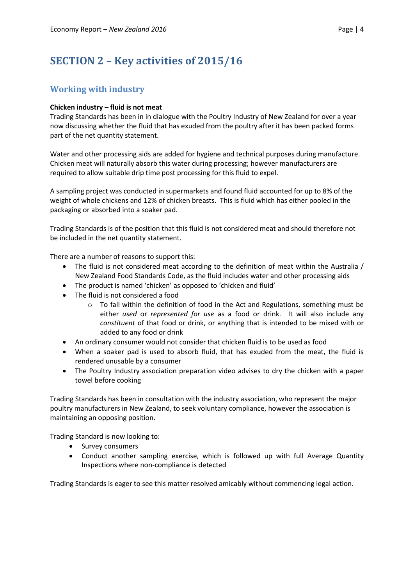# **SECTION 2 – Key activities of 2015/16**

# **Working with industry**

## **Chicken industry – fluid is not meat**

Trading Standards has been in in dialogue with the Poultry Industry of New Zealand for over a year now discussing whether the fluid that has exuded from the poultry after it has been packed forms part of the net quantity statement.

Water and other processing aids are added for hygiene and technical purposes during manufacture. Chicken meat will naturally absorb this water during processing; however manufacturers are required to allow suitable drip time post processing for this fluid to expel.

A sampling project was conducted in supermarkets and found fluid accounted for up to 8% of the weight of whole chickens and 12% of chicken breasts. This is fluid which has either pooled in the packaging or absorbed into a soaker pad.

Trading Standards is of the position that this fluid is not considered meat and should therefore not be included in the net quantity statement.

There are a number of reasons to support this:

- The fluid is not considered meat according to the definition of meat within the Australia / New Zealand Food Standards Code, as the fluid includes water and other processing aids
- The product is named 'chicken' as opposed to 'chicken and fluid'
- The fluid is not considered a food
	- $\circ$  To fall within the definition of food in the Act and Regulations, something must be either *used* or *represented for use* as a food or drink. It will also include any *constituent* of that food or drink, or anything that is intended to be mixed with or added to any food or drink
- An ordinary consumer would not consider that chicken fluid is to be used as food
- When a soaker pad is used to absorb fluid, that has exuded from the meat, the fluid is rendered unusable by a consumer
- The Poultry Industry association preparation video advises to dry the chicken with a paper towel before cooking

Trading Standards has been in consultation with the industry association, who represent the major poultry manufacturers in New Zealand, to seek voluntary compliance, however the association is maintaining an opposing position.

Trading Standard is now looking to:

- Survey consumers
- Conduct another sampling exercise, which is followed up with full Average Quantity Inspections where non-compliance is detected

Trading Standards is eager to see this matter resolved amicably without commencing legal action.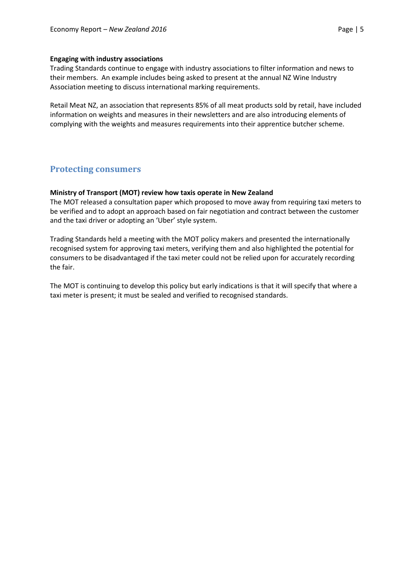### **Engaging with industry associations**

Trading Standards continue to engage with industry associations to filter information and news to their members. An example includes being asked to present at the annual NZ Wine Industry Association meeting to discuss international marking requirements.

Retail Meat NZ, an association that represents 85% of all meat products sold by retail, have included information on weights and measures in their newsletters and are also introducing elements of complying with the weights and measures requirements into their apprentice butcher scheme.

# **Protecting consumers**

### **Ministry of Transport (MOT) review how taxis operate in New Zealand**

The MOT released a consultation paper which proposed to move away from requiring taxi meters to be verified and to adopt an approach based on fair negotiation and contract between the customer and the taxi driver or adopting an 'Uber' style system.

Trading Standards held a meeting with the MOT policy makers and presented the internationally recognised system for approving taxi meters, verifying them and also highlighted the potential for consumers to be disadvantaged if the taxi meter could not be relied upon for accurately recording the fair.

The MOT is continuing to develop this policy but early indications is that it will specify that where a taxi meter is present; it must be sealed and verified to recognised standards.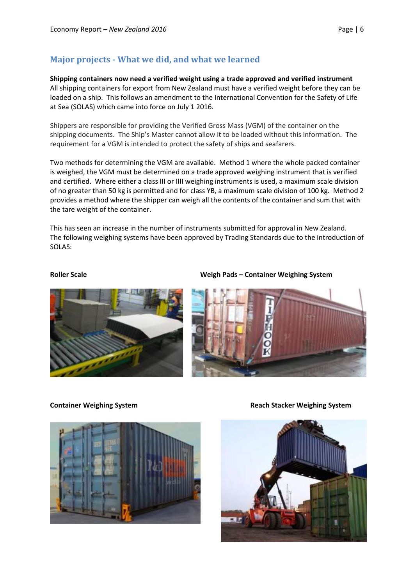# **Major projects - What we did, and what we learned**

**Shipping containers now need a verified weight using a trade approved and verified instrument** All shipping containers for export from New Zealand must have a verified weight before they can be loaded on a ship. This follows an amendment to the International Convention for the Safety of Life at Sea (SOLAS) which came into force on July 1 2016.

Shippers are responsible for providing the Verified Gross Mass (VGM) of the container on the shipping documents. The Ship's Master cannot allow it to be loaded without this information. The requirement for a VGM is intended to protect the safety of ships and seafarers.

Two methods for determining the VGM are available. Method 1 where the whole packed container is weighed, the VGM must be determined on a trade approved weighing instrument that is verified and certified. Where either a class III or IIII weighing instruments is used, a maximum scale division of no greater than 50 kg is permitted and for class YB, a maximum scale division of 100 kg. Method 2 provides a method where the shipper can weigh all the contents of the container and sum that with the tare weight of the container.

This has seen an increase in the number of instruments submitted for approval in New Zealand. The following weighing systems have been approved by Trading Standards due to the introduction of SOLAS:



**Roller Scale Weigh Pads – Container Weighing System**





**Container Weighing System Reach Stacker Weighing System** 

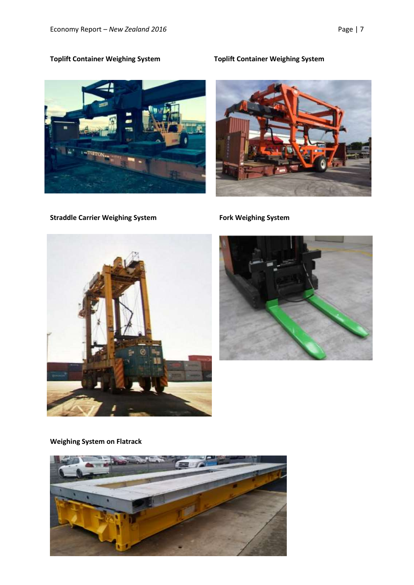

**Straddle Carrier Weighing System Fork Weighing System** 

# **Toplift Container Weighing System Toplift Container Weighing System**







**Weighing System on Flatrack**

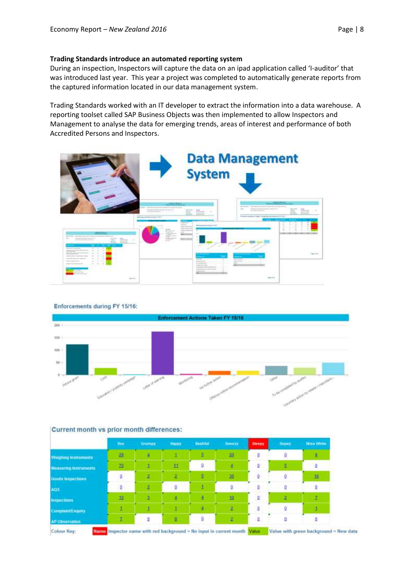### **Trading Standards introduce an automated reporting system**

During an inspection, Inspectors will capture the data on an ipad application called 'I-auditor' that was introduced last year. This year a project was completed to automatically generate reports from the captured information located in our data management system.

Trading Standards worked with an IT developer to extract the information into a data warehouse. A reporting toolset called SAP Business Objects was then implemented to allow Inspectors and Management to analyse the data for emerging trends, areas of interest and performance of both Accredited Persons and Inspectors.



Enforcements during FY 15/16:



|                             | Doc          | <b>Grumpy</b> | <b>Happy</b> | Bashful | <b>Snoopy</b>           | Sleepy | Dopey. | <b>Minn White</b> |
|-----------------------------|--------------|---------------|--------------|---------|-------------------------|--------|--------|-------------------|
| <b>Weighing Instruments</b> | 29           | 4             |              |         | 盈                       | 9      | ö      |                   |
| Measuring Instruments       | 20           |               | 11           | Q       | A                       | o      | ö.     | o                 |
| Goods Impections            | 0            |               |              |         | 菡                       | o      | ä.     | 15                |
| AGS:                        | $\mathbf{Q}$ | 2             | Q            |         |                         | o      | v      |                   |
| <b>Inspections</b>          | 10           |               |              |         | 10                      | Q      |        |                   |
| ComplaintEnquiry            |              |               |              | ٠       | 2                       | 9      |        |                   |
| AP Observation              | $\tau$       | 0             | đ            | Ö       | $\overline{\mathbf{z}}$ | 0      | Q      |                   |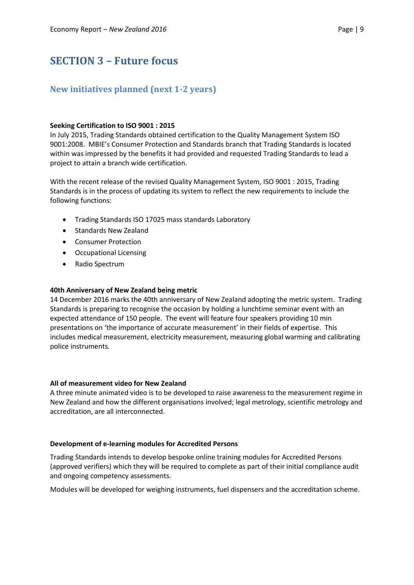# **SECTION 3 – Future focus**

# **New initiatives planned (next 1-2 years)**

### **Seeking Certification to ISO 9001 : 2015**

In July 2015, Trading Standards obtained certification to the Quality Management System ISO 9001:2008. MBIE's Consumer Protection and Standards branch that Trading Standards is located within was impressed by the benefits it had provided and requested Trading Standards to lead a project to attain a branch wide certification.

With the recent release of the revised Quality Management System, ISO 9001 : 2015, Trading Standards is in the process of updating its system to reflect the new requirements to include the following functions:

- Trading Standards ISO 17025 mass standards Laboratory
- Standards New Zealand
- Consumer Protection
- Occupational Licensing
- Radio Spectrum

### **40th Anniversary of New Zealand being metric**

14 December 2016 marks the 40th anniversary of New Zealand adopting the metric system. Trading Standards is preparing to recognise the occasion by holding a lunchtime seminar event with an expected attendance of 150 people. The event will feature four speakers providing 10 min presentations on 'the importance of accurate measurement' in their fields of expertise. This includes medical measurement, electricity measurement, measuring global warming and calibrating police instruments.

### **All of measurement video for New Zealand**

A three minute animated video is to be developed to raise awareness to the measurement regime in New Zealand and how the different organisations involved; legal metrology, scientific metrology and accreditation, are all interconnected.

### **Development of e-learning modules for Accredited Persons**

Trading Standards intends to develop bespoke online training modules for Accredited Persons (approved verifiers) which they will be required to complete as part of their initial compliance audit and ongoing competency assessments.

Modules will be developed for weighing instruments, fuel dispensers and the accreditation scheme.